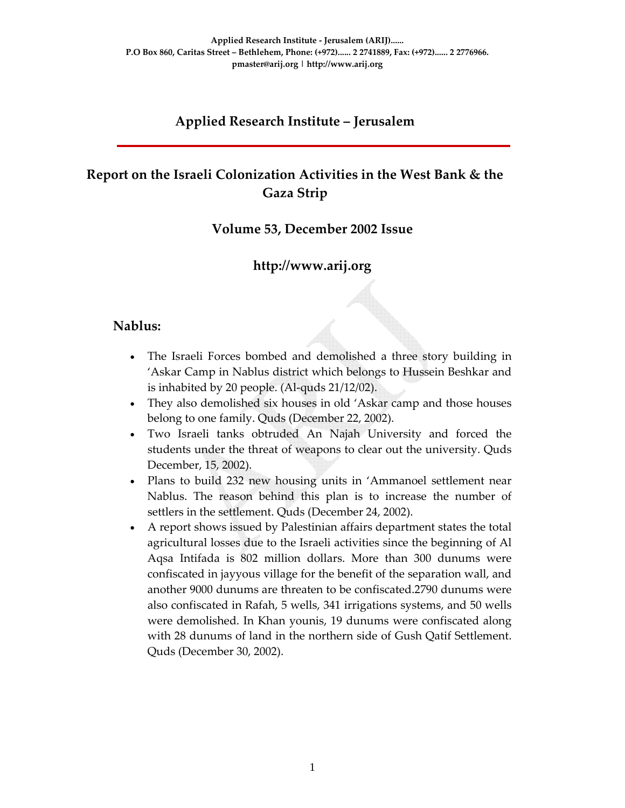### **Applied Research Institute – Jerusalem**

# **Report on the Israeli Colonization Activities in the West Bank & the Gaza Strip**

#### **Volume 53, December 2002 Issue**

#### **http://www.arij.org**

#### **Nablus:**

- The Israeli Forces bombed and demolished a three story building in 'Askar Camp in Nablus district which belongs to Hussein Beshkar and is inhabited by 20 people. (Al‐quds 21/12/02).
- They also demolished six houses in old 'Askar camp and those houses belong to one family. Quds (December 22, 2002).
- Two Israeli tanks obtruded An Najah University and forced the students under the threat of weapons to clear out the university. Quds December, 15, 2002).
- Plans to build 232 new housing units in 'Ammanoel settlement near Nablus. The reason behind this plan is to increase the number of settlers in the settlement. Quds (December 24, 2002).
- A report shows issued by Palestinian affairs department states the total agricultural losses due to the Israeli activities since the beginning of Al Aqsa Intifada is 802 million dollars. More than 300 dunums were confiscated in jayyous village for the benefit of the separation wall, and another 9000 dunums are threaten to be confiscated.2790 dunums were also confiscated in Rafah, 5 wells, 341 irrigations systems, and 50 wells were demolished. In Khan younis, 19 dunums were confiscated along with 28 dunums of land in the northern side of Gush Qatif Settlement. Quds (December 30, 2002).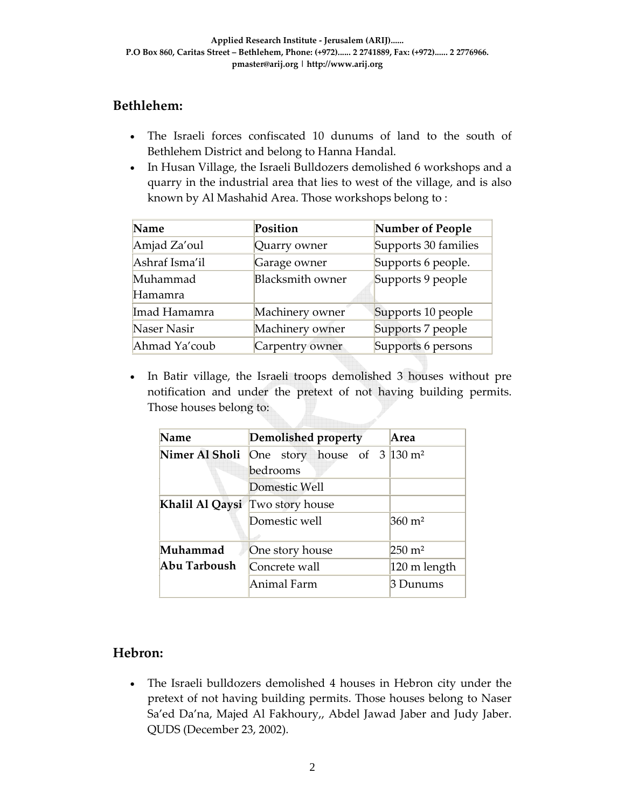## **Bethlehem:**

- The Israeli forces confiscated 10 dunums of land to the south of Bethlehem District and belong to Hanna Handal.
- In Husan Village, the Israeli Bulldozers demolished 6 workshops and a quarry in the industrial area that lies to west of the village, and is also known by Al Mashahid Area. Those workshops belong to :

| Name           | Position                | Number of People     |  |
|----------------|-------------------------|----------------------|--|
| Amjad Za'oul   | Quarry owner            | Supports 30 families |  |
| Ashraf Isma'il | Garage owner            | Supports 6 people.   |  |
| Muhammad       | <b>Blacksmith owner</b> | Supports 9 people    |  |
| Hamamra        |                         |                      |  |
| Imad Hamamra   | Machinery owner         | Supports 10 people   |  |
| Naser Nasir    | Machinery owner         | Supports 7 people    |  |
| Ahmad Ya'coub  | Carpentry owner         | Supports 6 persons   |  |

• In Batir village, the Israeli troops demolished 3 houses without pre notification and under the pretext of not having building permits. Those houses belong to:

| Name           | <b>Demolished property</b>                       | Area                  |  |  |  |  |
|----------------|--------------------------------------------------|-----------------------|--|--|--|--|
| Nimer Al Sholi | One story house of $3 \times 130$ m <sup>2</sup> |                       |  |  |  |  |
|                | bedrooms                                         |                       |  |  |  |  |
|                | Domestic Well                                    |                       |  |  |  |  |
|                | Khalil Al Qaysi Two story house                  |                       |  |  |  |  |
|                | Domestic well                                    | $360 \; \mathrm{m}^2$ |  |  |  |  |
|                |                                                  |                       |  |  |  |  |
| Muhammad       | One story house                                  | $250 \; \mathrm{m}^2$ |  |  |  |  |
| Abu Tarboush   | Concrete wall                                    | 120 m length          |  |  |  |  |
|                | Animal Farm                                      | 3 Dunums              |  |  |  |  |

## **Hebron:**

• The Israeli bulldozers demolished 4 houses in Hebron city under the pretext of not having building permits. Those houses belong to Naser Sa'ed Da'na, Majed Al Fakhoury,, Abdel Jawad Jaber and Judy Jaber. QUDS (December 23, 2002).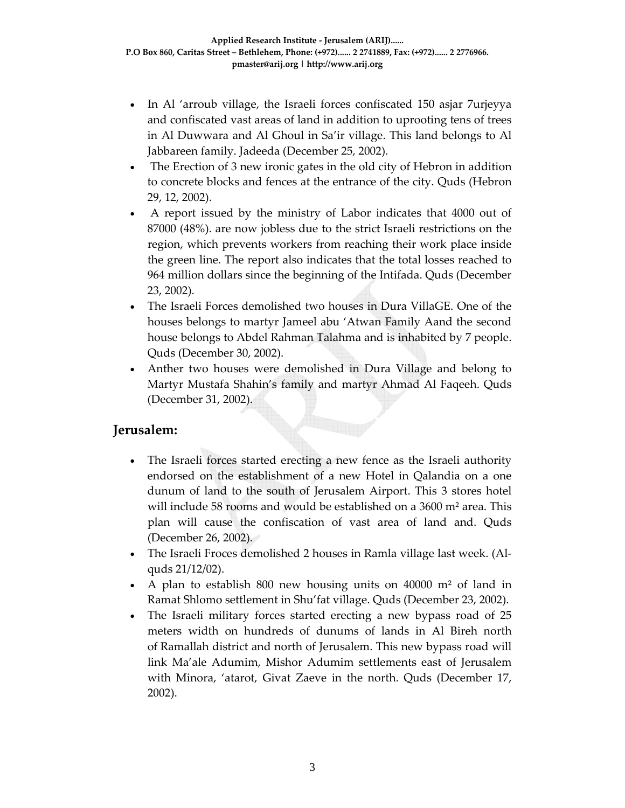- In Al 'arroub village, the Israeli forces confiscated 150 asjar 7urjeyya and confiscated vast areas of land in addition to uprooting tens of trees in Al Duwwara and Al Ghoul in Sa'ir village. This land belongs to Al Jabbareen family. Jadeeda (December 25, 2002).
- The Erection of 3 new ironic gates in the old city of Hebron in addition to concrete blocks and fences at the entrance of the city. Quds (Hebron 29, 12, 2002).
- A report issued by the ministry of Labor indicates that 4000 out of 87000 (48%). are now jobless due to the strict Israeli restrictions on the region, which prevents workers from reaching their work place inside the green line. The report also indicates that the total losses reached to 964 million dollars since the beginning of the Intifada. Quds (December 23, 2002).
- The Israeli Forces demolished two houses in Dura VillaGE. One of the houses belongs to martyr Jameel abu 'Atwan Family Aand the second house belongs to Abdel Rahman Talahma and is inhabited by 7 people. Quds (December 30, 2002).
- Anther two houses were demolished in Dura Village and belong to Martyr Mustafa Shahin's family and martyr Ahmad Al Faqeeh. Quds (December 31, 2002).

#### **Jerusalem:**

- The Israeli forces started erecting a new fence as the Israeli authority endorsed on the establishment of a new Hotel in Qalandia on a one dunum of land to the south of Jerusalem Airport. This 3 stores hotel will include 58 rooms and would be established on a 3600 m² area. This plan will cause the confiscation of vast area of land and. Quds (December 26, 2002).
- The Israeli Froces demolished 2 houses in Ramla village last week. (Alquds 21/12/02).
- A plan to establish 800 new housing units on 40000 m² of land in Ramat Shlomo settlement in Shu'fat village. Quds (December 23, 2002).
- The Israeli military forces started erecting a new bypass road of 25 meters width on hundreds of dunums of lands in Al Bireh north of Ramallah district and north of Jerusalem. This new bypass road will link Ma'ale Adumim, Mishor Adumim settlements east of Jerusalem with Minora, 'atarot, Givat Zaeve in the north. Quds (December 17, 2002).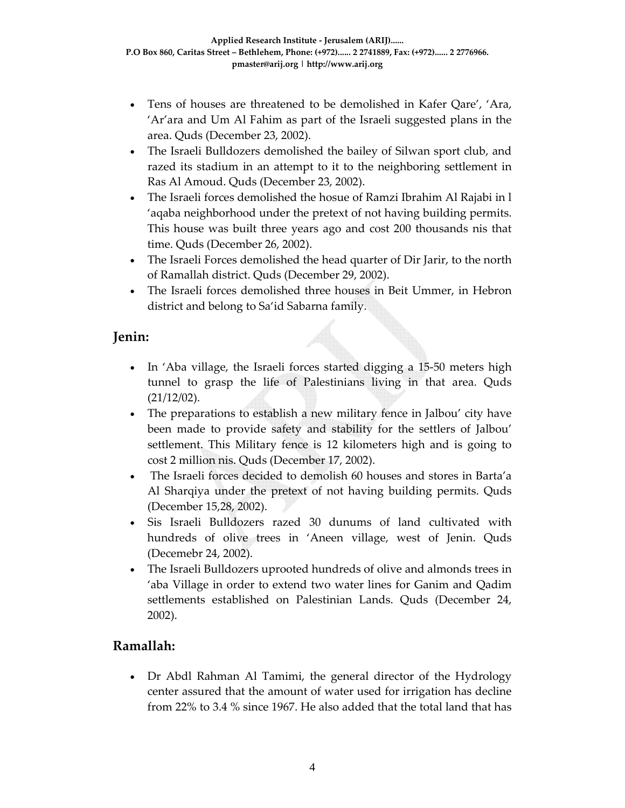- Tens of houses are threatened to be demolished in Kafer Qare', 'Ara, 'Ar'ara and Um Al Fahim as part of the Israeli suggested plans in the area. Quds (December 23, 2002).
- The Israeli Bulldozers demolished the bailey of Silwan sport club, and razed its stadium in an attempt to it to the neighboring settlement in Ras Al Amoud. Quds (December 23, 2002).
- The Israeli forces demolished the hosue of Ramzi Ibrahim Al Rajabi in l 'aqaba neighborhood under the pretext of not having building permits. This house was built three years ago and cost 200 thousands nis that time. Quds (December 26, 2002).
- The Israeli Forces demolished the head quarter of Dir Jarir, to the north of Ramallah district. Quds (December 29, 2002).
- The Israeli forces demolished three houses in Beit Ummer, in Hebron district and belong to Sa'id Sabarna family.

### **Jenin:**

- In 'Aba village, the Israeli forces started digging a 15-50 meters high tunnel to grasp the life of Palestinians living in that area. Quds (21/12/02).
- The preparations to establish a new military fence in Jalbou' city have been made to provide safety and stability for the settlers of Jalbou' settlement. This Military fence is 12 kilometers high and is going to cost 2 million nis. Quds (December 17, 2002).
- The Israeli forces decided to demolish 60 houses and stores in Barta'a Al Sharqiya under the pretext of not having building permits. Quds (December 15,28, 2002).
- Sis Israeli Bulldozers razed 30 dunums of land cultivated with hundreds of olive trees in 'Aneen village, west of Jenin. Quds (Decemebr 24, 2002).
- The Israeli Bulldozers uprooted hundreds of olive and almonds trees in 'aba Village in order to extend two water lines for Ganim and Qadim settlements established on Palestinian Lands. Quds (December 24, 2002).

#### **Ramallah:**

• Dr Abdl Rahman Al Tamimi, the general director of the Hydrology center assured that the amount of water used for irrigation has decline from 22% to 3.4 % since 1967. He also added that the total land that has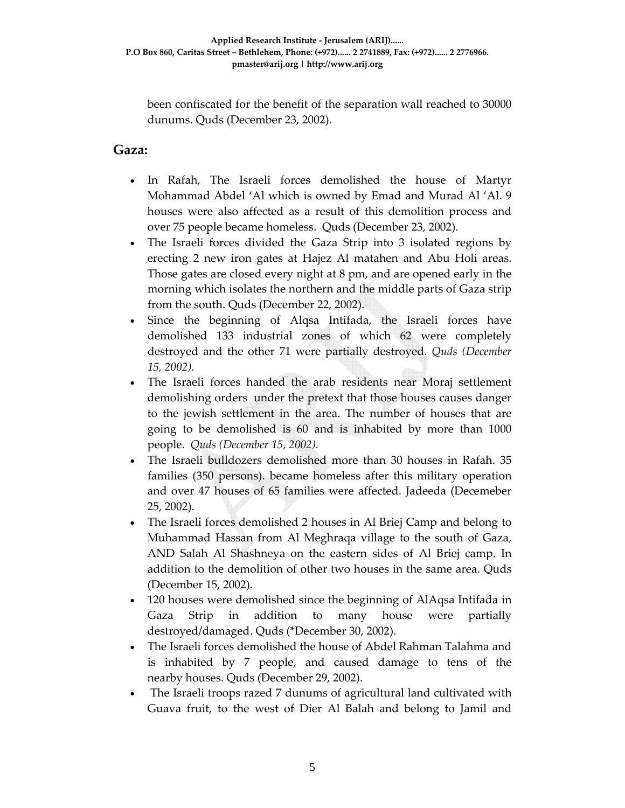been confiscated for the benefit of the separation wall reached to 30000 dunums. Quds (December 23, 2002).

#### **Gaza:**

- In Rafah, The Israeli forces demolished the house of Martyr Mohammad Abdel 'Al which is owned by Emad and Murad Al 'Al. 9 houses were also affected as a result of this demolition process and over 75 people became homeless. Quds (December 23, 2002).
- The Israeli forces divided the Gaza Strip into 3 isolated regions by erecting 2 new iron gates at Hajez Al matahen and Abu Holi areas. Those gates are closed every night at 8 pm, and are opened early in the morning which isolates the northern and the middle parts of Gaza strip from the south. Quds (December 22, 2002).
- Since the beginning of Alqsa Intifada, the Israeli forces have demolished 133 industrial zones of which 62 were completely destroyed and the other 71 were partially destroyed. *Quds (December 15, 2002).*
- The Israeli forces handed the arab residents near Moraj settlement demolishing orders under the pretext that those houses causes danger to the jewish settlement in the area. The number of houses that are going to be demolished is 60 and is inhabited by more than 1000 people. *Quds (December 15, 2002).*
- The Israeli bulldozers demolished more than 30 houses in Rafah. 35 families (350 persons). became homeless after this military operation and over 47 houses of 65 families were affected. Jadeeda (Decemeber 25, 2002).
- The Israeli forces demolished 2 houses in Al Briej Camp and belong to Muhammad Hassan from Al Meghraqa village to the south of Gaza, AND Salah Al Shashneya on the eastern sides of Al Briej camp. In addition to the demolition of other two houses in the same area. Quds (December 15, 2002).
- 120 houses were demolished since the beginning of AlAqsa Intifada in Gaza Strip in addition to many house were partially destroyed/damaged. Quds (\*December 30, 2002).
- The Israeli forces demolished the house of Abdel Rahman Talahma and is inhabited by 7 people, and caused damage to tens of the nearby houses. Quds (December 29, 2002).
- The Israeli troops razed 7 dunums of agricultural land cultivated with Guava fruit, to the west of Dier Al Balah and belong to Jamil and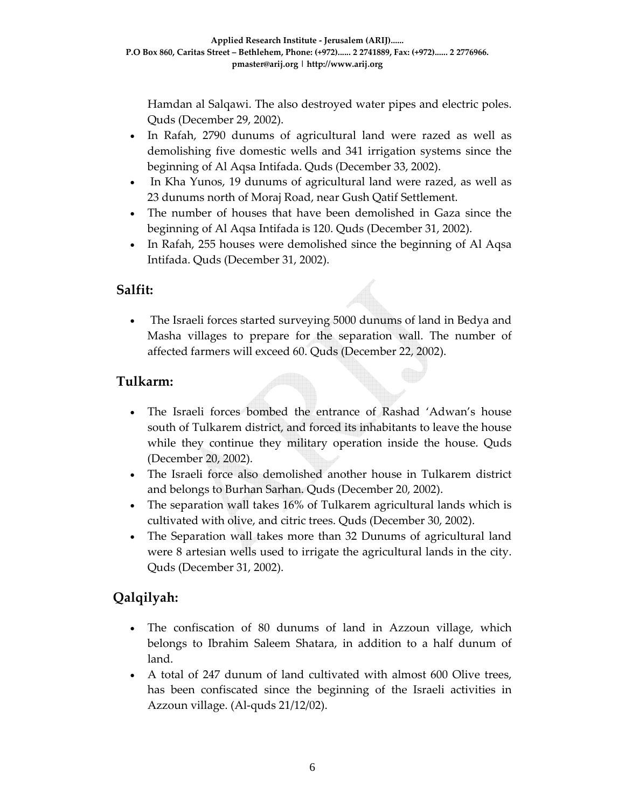Hamdan al Salqawi. The also destroyed water pipes and electric poles. Quds (December 29, 2002).

- In Rafah, 2790 dunums of agricultural land were razed as well as demolishing five domestic wells and 341 irrigation systems since the beginning of Al Aqsa Intifada. Quds (December 33, 2002).
- In Kha Yunos, 19 dunums of agricultural land were razed, as well as 23 dunums north of Moraj Road, near Gush Qatif Settlement.
- The number of houses that have been demolished in Gaza since the beginning of Al Aqsa Intifada is 120. Quds (December 31, 2002).
- In Rafah, 255 houses were demolished since the beginning of Al Aqsa Intifada. Quds (December 31, 2002).

### **Salfit:**

• The Israeli forces started surveying 5000 dunums of land in Bedya and Masha villages to prepare for the separation wall. The number of affected farmers will exceed 60. Quds (December 22, 2002).

### **Tulkarm:**

- The Israeli forces bombed the entrance of Rashad 'Adwan's house south of Tulkarem district, and forced its inhabitants to leave the house while they continue they military operation inside the house. Quds (December 20, 2002).
- The Israeli force also demolished another house in Tulkarem district and belongs to Burhan Sarhan. Quds (December 20, 2002).
- The separation wall takes 16% of Tulkarem agricultural lands which is cultivated with olive, and citric trees. Quds (December 30, 2002).
- The Separation wall takes more than 32 Dunums of agricultural land were 8 artesian wells used to irrigate the agricultural lands in the city. Quds (December 31, 2002).

## **Qalqilyah:**

- The confiscation of 80 dunums of land in Azzoun village, which belongs to Ibrahim Saleem Shatara, in addition to a half dunum of land.
- A total of 247 dunum of land cultivated with almost 600 Olive trees, has been confiscated since the beginning of the Israeli activities in Azzoun village. (Al‐quds 21/12/02).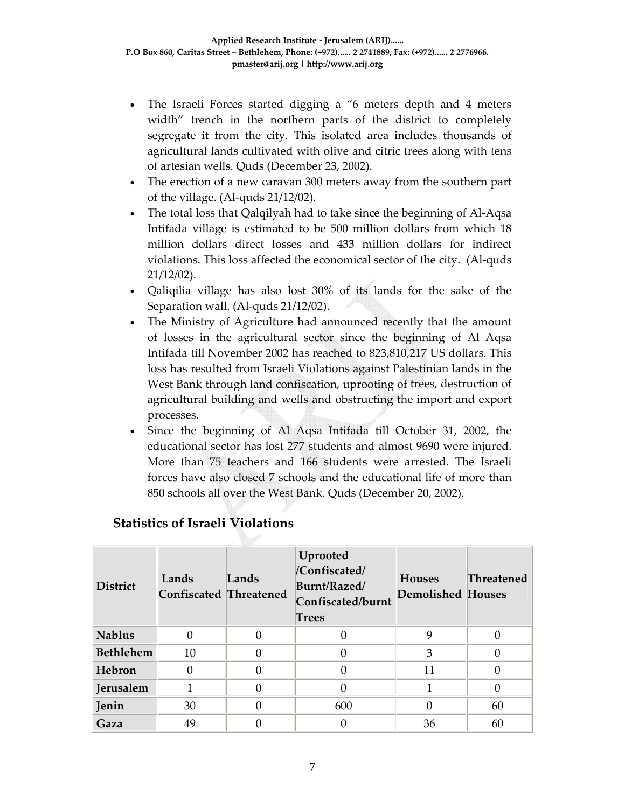- The Israeli Forces started digging a "6 meters depth and 4 meters width" trench in the northern parts of the district to completely segregate it from the city. This isolated area includes thousands of agricultural lands cultivated with olive and citric trees along with tens of artesian wells. Quds (December 23, 2002).
- The erection of a new caravan 300 meters away from the southern part of the village. (Al‐quds 21/12/02).
- The total loss that Qalqilyah had to take since the beginning of Al-Aqsa Intifada village is estimated to be 500 million dollars from which 18 million dollars direct losses and 433 million dollars for indirect violations. This loss affected the economical sector of the city. (Al‐quds 21/12/02).
- Qaliqilia village has also lost 30% of its lands for the sake of the Separation wall. (Al-quds 21/12/02).
- The Ministry of Agriculture had announced recently that the amount of losses in the agricultural sector since the beginning of Al Aqsa Intifada till November 2002 has reached to 823,810,217 US dollars. This loss has resulted from Israeli Violations against Palestinian lands in the West Bank through land confiscation, uprooting of trees, destruction of agricultural building and wells and obstructing the import and export processes.
- Since the beginning of Al Aqsa Intifada till October 31, 2002, the educational sector has lost 277 students and almost 9690 were injured. More than 75 teachers and 166 students were arrested. The Israeli forces have also closed 7 schools and the educational life of more than 850 schools all over the West Bank. Quds (December 20, 2002).

| <b>District</b>  | Lands<br><b>Confiscated Threatened</b> | Lands | Uprooted<br>/Confiscated/<br>Burnt/Razed/<br>Confiscated/burnt<br><b>Trees</b> | <b>Houses</b><br><b>Demolished Houses</b> | <b>Threatened</b> |
|------------------|----------------------------------------|-------|--------------------------------------------------------------------------------|-------------------------------------------|-------------------|
| <b>Nablus</b>    | $\Omega$                               |       |                                                                                | 9                                         | $\left( \right)$  |
| <b>Bethlehem</b> | 10                                     |       | 0                                                                              | 3                                         |                   |
| Hebron           | $\Omega$                               |       | 0                                                                              | 11                                        |                   |
| Jerusalem        | 1                                      |       | 0                                                                              |                                           | 0                 |
| Jenin            | 30                                     |       | 600                                                                            |                                           | 60                |
| Gaza             | 49                                     |       |                                                                                | 36                                        | 60                |

#### **Statistics of Israeli Violations**